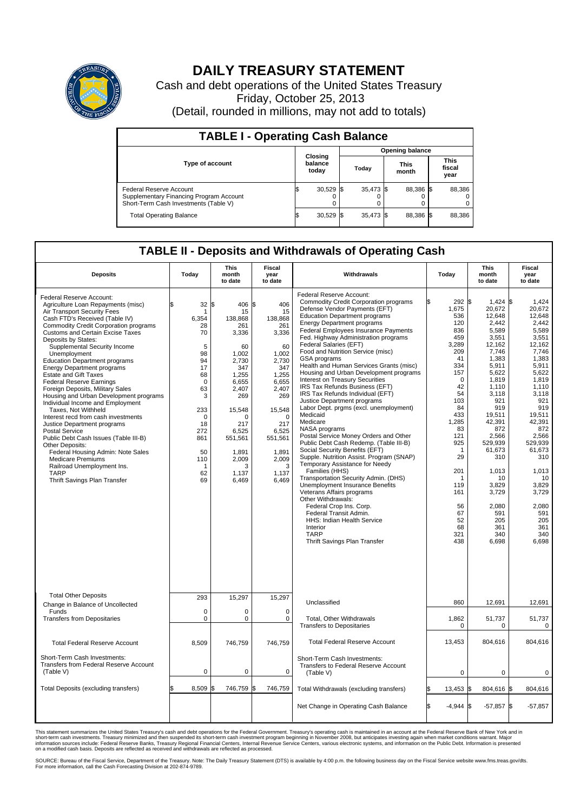

## **DAILY TREASURY STATEMENT**

Cash and debt operations of the United States Treasury Friday, October 25, 2013 (Detail, rounded in millions, may not add to totals)

| <b>TABLE I - Operating Cash Balance</b>                                                                     |                             |             |       |           |                      |           |                               |        |  |
|-------------------------------------------------------------------------------------------------------------|-----------------------------|-------------|-------|-----------|----------------------|-----------|-------------------------------|--------|--|
| <b>Opening balance</b>                                                                                      |                             |             |       |           |                      |           |                               |        |  |
| <b>Type of account</b>                                                                                      | Closing<br>balance<br>today |             | Today |           | <b>This</b><br>month |           | <b>This</b><br>fiscal<br>year |        |  |
| Federal Reserve Account<br>Supplementary Financing Program Account<br>Short-Term Cash Investments (Table V) |                             | $30,529$ \$ |       | 35,473 \$ |                      | 88.386 \$ |                               | 88,386 |  |
| <b>Total Operating Balance</b>                                                                              |                             | $30,529$ \$ |       | 35.473 \$ |                      | 88,386 \$ |                               | 88,386 |  |

## **TABLE II - Deposits and Withdrawals of Operating Cash**

| <b>Deposits</b>                                                                                                                                                                                                                                                                                                                                                                                                                                                                                                                                                                                                                                                                                                                                                                                                                                                                              | Today                                                                                                                                                                | <b>This</b><br>month<br>to date                                                                                                                                                        | Fiscal<br>year<br>to date                                                                                                                                                                       | Withdrawals                                                                                                                                                                                                                                                                                                                                                                                                                                                                                                                                                                                                                                                                                                                                                                                                                                                                                                                                                                                                                                                                                                                                                                                        | Today                                                                                                                                                                                                                                                       | <b>This</b><br>month<br>to date                                                                                                                                                                                                                                                                 | Fiscal<br>year<br>to date                                                                                                                                                                                                                                                                  |
|----------------------------------------------------------------------------------------------------------------------------------------------------------------------------------------------------------------------------------------------------------------------------------------------------------------------------------------------------------------------------------------------------------------------------------------------------------------------------------------------------------------------------------------------------------------------------------------------------------------------------------------------------------------------------------------------------------------------------------------------------------------------------------------------------------------------------------------------------------------------------------------------|----------------------------------------------------------------------------------------------------------------------------------------------------------------------|----------------------------------------------------------------------------------------------------------------------------------------------------------------------------------------|-------------------------------------------------------------------------------------------------------------------------------------------------------------------------------------------------|----------------------------------------------------------------------------------------------------------------------------------------------------------------------------------------------------------------------------------------------------------------------------------------------------------------------------------------------------------------------------------------------------------------------------------------------------------------------------------------------------------------------------------------------------------------------------------------------------------------------------------------------------------------------------------------------------------------------------------------------------------------------------------------------------------------------------------------------------------------------------------------------------------------------------------------------------------------------------------------------------------------------------------------------------------------------------------------------------------------------------------------------------------------------------------------------------|-------------------------------------------------------------------------------------------------------------------------------------------------------------------------------------------------------------------------------------------------------------|-------------------------------------------------------------------------------------------------------------------------------------------------------------------------------------------------------------------------------------------------------------------------------------------------|--------------------------------------------------------------------------------------------------------------------------------------------------------------------------------------------------------------------------------------------------------------------------------------------|
| Federal Reserve Account:<br>Agriculture Loan Repayments (misc)<br>Air Transport Security Fees<br>Cash FTD's Received (Table IV)<br><b>Commodity Credit Corporation programs</b><br><b>Customs and Certain Excise Taxes</b><br>Deposits by States:<br>Supplemental Security Income<br>Unemployment<br><b>Education Department programs</b><br><b>Energy Department programs</b><br>Estate and Gift Taxes<br><b>Federal Reserve Earnings</b><br>Foreign Deposits, Military Sales<br>Housing and Urban Development programs<br>Individual Income and Employment<br>Taxes, Not Withheld<br>Interest recd from cash investments<br>Justice Department programs<br><b>Postal Service</b><br>Public Debt Cash Issues (Table III-B)<br>Other Deposits:<br>Federal Housing Admin: Note Sales<br><b>Medicare Premiums</b><br>Railroad Unemployment Ins.<br><b>TARP</b><br>Thrift Savings Plan Transfer | \$<br>32 S<br>-1<br>6,354<br>28<br>70<br>5<br>98<br>94<br>17<br>68<br>$\mathbf 0$<br>63<br>3<br>233<br>$\mathbf 0$<br>18<br>272<br>861<br>50<br>110<br>1<br>62<br>69 | 406 \$<br>15<br>138,868<br>261<br>3,336<br>60<br>1,002<br>2,730<br>347<br>1,255<br>6,655<br>2,407<br>269<br>15,548<br>217<br>6.525<br>551,561<br>1,891<br>2,009<br>3<br>1,137<br>6,469 | 406<br>15<br>138,868<br>261<br>3,336<br>60<br>1,002<br>2,730<br>347<br>1,255<br>6,655<br>2,407<br>269<br>15,548<br>$\Omega$<br>217<br>6.525<br>551,561<br>1,891<br>2,009<br>3<br>1,137<br>6,469 | Federal Reserve Account:<br><b>Commodity Credit Corporation programs</b><br>Defense Vendor Payments (EFT)<br><b>Education Department programs</b><br><b>Energy Department programs</b><br><b>Federal Employees Insurance Payments</b><br>Fed. Highway Administration programs<br><b>Federal Salaries (EFT)</b><br>Food and Nutrition Service (misc)<br>GSA programs<br>Health and Human Services Grants (misc)<br>Housing and Urban Development programs<br>Interest on Treasury Securities<br>IRS Tax Refunds Business (EFT)<br>IRS Tax Refunds Individual (EFT)<br>Justice Department programs<br>Labor Dept. prgms (excl. unemployment)<br>Medicaid<br>Medicare<br>NASA programs<br>Postal Service Money Orders and Other<br>Public Debt Cash Redemp. (Table III-B)<br>Social Security Benefits (EFT)<br>Supple. Nutrition Assist. Program (SNAP)<br>Temporary Assistance for Needy<br>Families (HHS)<br>Transportation Security Admin. (DHS)<br><b>Unemployment Insurance Benefits</b><br>Veterans Affairs programs<br>Other Withdrawals:<br>Federal Crop Ins. Corp.<br>Federal Transit Admin.<br><b>HHS: Indian Health Service</b><br>Interior<br><b>TARP</b><br>Thrift Savings Plan Transfer | 292 \$<br>l\$<br>1,675<br>536<br>120<br>836<br>459<br>3.289<br>209<br>41<br>334<br>157<br>$\mathbf 0$<br>42<br>54<br>103<br>84<br>433<br>1,285<br>83<br>121<br>925<br>$\overline{1}$<br>29<br>201<br>-1<br>119<br>161<br>56<br>67<br>52<br>68<br>321<br>438 | $1,424$ \$<br>20,672<br>12,648<br>2,442<br>5,589<br>3,551<br>12,162<br>7,746<br>1.383<br>5,911<br>5,622<br>1,819<br>1,110<br>3,118<br>921<br>919<br>19,511<br>42,391<br>872<br>2,566<br>529.939<br>61,673<br>310<br>1,013<br>10<br>3,829<br>3,729<br>2.080<br>591<br>205<br>361<br>340<br>6,698 | 1,424<br>20.672<br>12.648<br>2.442<br>5,589<br>3,551<br>12,162<br>7,746<br>1,383<br>5,911<br>5.622<br>1.819<br>1,110<br>3,118<br>921<br>919<br>19.511<br>42,391<br>872<br>2,566<br>529.939<br>61,673<br>310<br>1,013<br>10<br>3,829<br>3,729<br>2.080<br>591<br>205<br>361<br>340<br>6,698 |
| <b>Total Other Deposits</b><br>Change in Balance of Uncollected                                                                                                                                                                                                                                                                                                                                                                                                                                                                                                                                                                                                                                                                                                                                                                                                                              | 293                                                                                                                                                                  | 15,297                                                                                                                                                                                 | 15,297                                                                                                                                                                                          | Unclassified                                                                                                                                                                                                                                                                                                                                                                                                                                                                                                                                                                                                                                                                                                                                                                                                                                                                                                                                                                                                                                                                                                                                                                                       | 860                                                                                                                                                                                                                                                         | 12,691                                                                                                                                                                                                                                                                                          | 12,691                                                                                                                                                                                                                                                                                     |
| Funds<br><b>Transfers from Depositaries</b>                                                                                                                                                                                                                                                                                                                                                                                                                                                                                                                                                                                                                                                                                                                                                                                                                                                  | $\mathbf 0$<br>$\mathbf 0$                                                                                                                                           | 0<br>$\mathbf 0$                                                                                                                                                                       | $\mathbf 0$<br>$\mathbf 0$                                                                                                                                                                      | Total, Other Withdrawals<br><b>Transfers to Depositaries</b>                                                                                                                                                                                                                                                                                                                                                                                                                                                                                                                                                                                                                                                                                                                                                                                                                                                                                                                                                                                                                                                                                                                                       | 1,862<br>0                                                                                                                                                                                                                                                  | 51,737<br>$\mathbf 0$                                                                                                                                                                                                                                                                           | 51,737<br>$\mathbf 0$                                                                                                                                                                                                                                                                      |
| <b>Total Federal Reserve Account</b>                                                                                                                                                                                                                                                                                                                                                                                                                                                                                                                                                                                                                                                                                                                                                                                                                                                         | 8,509                                                                                                                                                                | 746,759                                                                                                                                                                                | 746,759                                                                                                                                                                                         | <b>Total Federal Reserve Account</b>                                                                                                                                                                                                                                                                                                                                                                                                                                                                                                                                                                                                                                                                                                                                                                                                                                                                                                                                                                                                                                                                                                                                                               | 13,453                                                                                                                                                                                                                                                      | 804,616                                                                                                                                                                                                                                                                                         | 804,616                                                                                                                                                                                                                                                                                    |
| Short-Term Cash Investments:<br>Transfers from Federal Reserve Account<br>(Table V)                                                                                                                                                                                                                                                                                                                                                                                                                                                                                                                                                                                                                                                                                                                                                                                                          | $\Omega$                                                                                                                                                             | 0                                                                                                                                                                                      | $\mathbf 0$                                                                                                                                                                                     | Short-Term Cash Investments:<br><b>Transfers to Federal Reserve Account</b><br>(Table V)                                                                                                                                                                                                                                                                                                                                                                                                                                                                                                                                                                                                                                                                                                                                                                                                                                                                                                                                                                                                                                                                                                           | 0                                                                                                                                                                                                                                                           | $\mathbf 0$                                                                                                                                                                                                                                                                                     | $\Omega$                                                                                                                                                                                                                                                                                   |
| Total Deposits (excluding transfers)                                                                                                                                                                                                                                                                                                                                                                                                                                                                                                                                                                                                                                                                                                                                                                                                                                                         | \$.<br>8,509                                                                                                                                                         | 746,759 \$<br>\$                                                                                                                                                                       | 746,759                                                                                                                                                                                         | Total Withdrawals (excluding transfers)                                                                                                                                                                                                                                                                                                                                                                                                                                                                                                                                                                                                                                                                                                                                                                                                                                                                                                                                                                                                                                                                                                                                                            | 13,453                                                                                                                                                                                                                                                      | 804,616<br>ß.                                                                                                                                                                                                                                                                                   | 1\$<br>804,616                                                                                                                                                                                                                                                                             |
|                                                                                                                                                                                                                                                                                                                                                                                                                                                                                                                                                                                                                                                                                                                                                                                                                                                                                              |                                                                                                                                                                      |                                                                                                                                                                                        |                                                                                                                                                                                                 | Net Change in Operating Cash Balance                                                                                                                                                                                                                                                                                                                                                                                                                                                                                                                                                                                                                                                                                                                                                                                                                                                                                                                                                                                                                                                                                                                                                               | <b>S</b><br>$-4,944$                                                                                                                                                                                                                                        | $-57,857$ \$<br>ß.                                                                                                                                                                                                                                                                              | $-57,857$                                                                                                                                                                                                                                                                                  |

This statement summarizes the United States Treasury's cash and debt operations for the Federal Government. Treasury's operating cash is maintained in an account at the Federal Reserve Bank of New York and in<br>informetion c

SOURCE: Bureau of the Fiscal Service, Department of the Treasury. Note: The Daily Treasury Statement (DTS) is available by 4:00 p.m. the following business day on the Fiscal Service website www.fms.treas.gov/dts.<br>For more